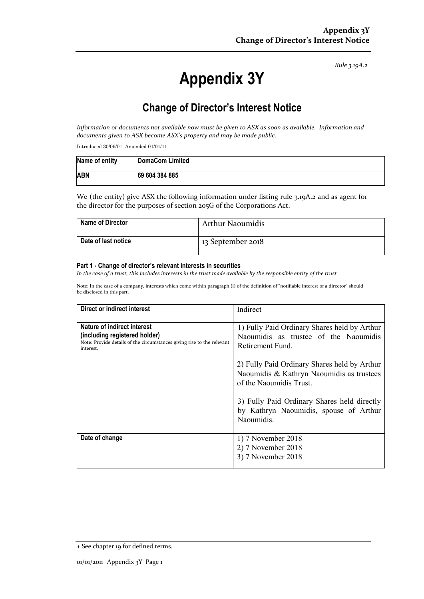*Rule 3.19A.2*

# **Appendix 3Y**

## **Change of Director's Interest Notice**

*Information or documents not available now must be given to ASX as soon as available. Information and documents given to ASX become ASX's property and may be made public.*

Introduced 30/09/01 Amended 01/01/11

| Name of entity | <b>DomaCom Limited</b> |
|----------------|------------------------|
| <b>ABN</b>     | 69 604 384 885         |

We (the entity) give ASX the following information under listing rule 3.19A.2 and as agent for the director for the purposes of section 205G of the Corporations Act.

| <b>Name of Director</b> | Arthur Naoumidis  |
|-------------------------|-------------------|
| Date of last notice     | 13 September 2018 |

#### **Part 1 - Change of director's relevant interests in securities**

*In the case of a trust, this includes interests in the trust made available by the responsible entity of the trust*

Note: In the case of a company, interests which come within paragraph (i) of the definition of "notifiable interest of a director" should be disclosed in this part.

| Direct or indirect interest                                                                                                                         | Indirect                                                                                                             |
|-----------------------------------------------------------------------------------------------------------------------------------------------------|----------------------------------------------------------------------------------------------------------------------|
| Nature of indirect interest<br>(including registered holder)<br>Note: Provide details of the circumstances giving rise to the relevant<br>interest. | 1) Fully Paid Ordinary Shares held by Arthur<br>Naoumidis as trustee of the Naoumidis<br>Retirement Fund.            |
|                                                                                                                                                     | 2) Fully Paid Ordinary Shares held by Arthur<br>Naoumidis & Kathryn Naoumidis as trustees<br>of the Naoumidis Trust. |
|                                                                                                                                                     | 3) Fully Paid Ordinary Shares held directly<br>by Kathryn Naoumidis, spouse of Arthur<br>Naoumidis.                  |
| Date of change                                                                                                                                      | 1) 7 November 2018<br>2) 7 November 2018<br>3) 7 November 2018                                                       |

<sup>+</sup> See chapter 19 for defined terms.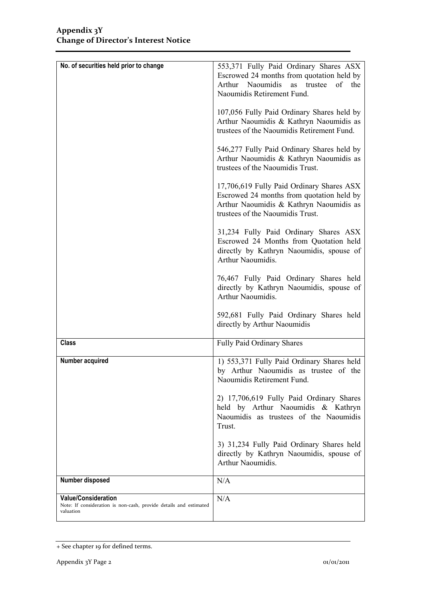| No. of securities held prior to change                                                                       | 553,371 Fully Paid Ordinary Shares ASX<br>Escrowed 24 months from quotation held by<br>Naoumidis<br>Arthur<br>of the<br>as<br>trustee<br>Naoumidis Retirement Fund.<br>107,056 Fully Paid Ordinary Shares held by |
|--------------------------------------------------------------------------------------------------------------|-------------------------------------------------------------------------------------------------------------------------------------------------------------------------------------------------------------------|
|                                                                                                              | Arthur Naoumidis & Kathryn Naoumidis as<br>trustees of the Naoumidis Retirement Fund.                                                                                                                             |
|                                                                                                              | 546,277 Fully Paid Ordinary Shares held by<br>Arthur Naoumidis & Kathryn Naoumidis as<br>trustees of the Naoumidis Trust.                                                                                         |
|                                                                                                              | 17,706,619 Fully Paid Ordinary Shares ASX<br>Escrowed 24 months from quotation held by<br>Arthur Naoumidis & Kathryn Naoumidis as<br>trustees of the Naoumidis Trust.                                             |
|                                                                                                              | 31,234 Fully Paid Ordinary Shares ASX<br>Escrowed 24 Months from Quotation held<br>directly by Kathryn Naoumidis, spouse of<br>Arthur Naoumidis.                                                                  |
|                                                                                                              | 76,467 Fully Paid Ordinary Shares held<br>directly by Kathryn Naoumidis, spouse of<br>Arthur Naoumidis.                                                                                                           |
|                                                                                                              | 592,681 Fully Paid Ordinary Shares held<br>directly by Arthur Naoumidis                                                                                                                                           |
| <b>Class</b>                                                                                                 | Fully Paid Ordinary Shares                                                                                                                                                                                        |
| Number acquired                                                                                              | 1) 553,371 Fully Paid Ordinary Shares held<br>by Arthur Naoumidis as trustee of the<br>Naoumidis Retirement Fund.                                                                                                 |
|                                                                                                              | 2) 17,706,619 Fully Paid Ordinary Shares<br>held by Arthur Naoumidis & Kathryn<br>Naoumidis as trustees of the Naoumidis<br>Trust.                                                                                |
|                                                                                                              | 3) 31,234 Fully Paid Ordinary Shares held<br>directly by Kathryn Naoumidis, spouse of<br>Arthur Naoumidis.                                                                                                        |
| Number disposed                                                                                              | N/A                                                                                                                                                                                                               |
| <b>Value/Consideration</b><br>Note: If consideration is non-cash, provide details and estimated<br>valuation | N/A                                                                                                                                                                                                               |

<sup>+</sup> See chapter 19 for defined terms.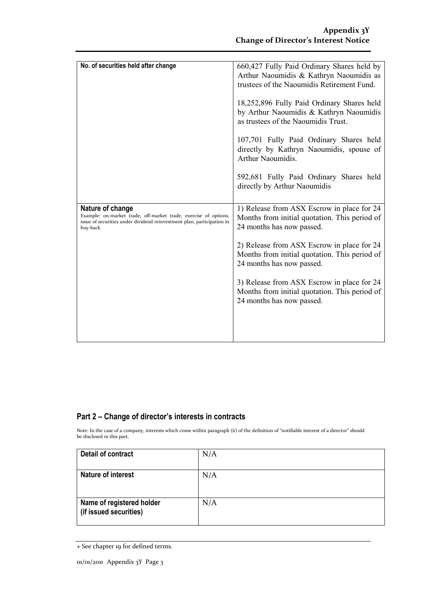| No. of securities held after change                                                                                                                                        | 660,427 Fully Paid Ordinary Shares held by<br>Arthur Naoumidis & Kathryn Naoumidis as<br>trustees of the Naoumidis Retirement Fund.<br>18,252,896 Fully Paid Ordinary Shares held<br>by Arthur Naoumidis & Kathryn Naoumidis<br>as trustees of the Naoumidis Trust.<br>107,701 Fully Paid Ordinary Shares held<br>directly by Kathryn Naoumidis, spouse of<br>Arthur Naoumidis.<br>592,681 Fully Paid Ordinary Shares held<br>directly by Arthur Naoumidis |
|----------------------------------------------------------------------------------------------------------------------------------------------------------------------------|------------------------------------------------------------------------------------------------------------------------------------------------------------------------------------------------------------------------------------------------------------------------------------------------------------------------------------------------------------------------------------------------------------------------------------------------------------|
| Nature of change<br>Example: on-market trade, off-market trade, exercise of options,<br>issue of securities under dividend reinvestment plan, participation in<br>buy-back | 1) Release from ASX Escrow in place for 24<br>Months from initial quotation. This period of<br>24 months has now passed.<br>2) Release from ASX Escrow in place for 24<br>Months from initial quotation. This period of<br>24 months has now passed.<br>3) Release from ASX Escrow in place for 24<br>Months from initial quotation. This period of<br>24 months has now passed.                                                                           |

### **Part 2 – Change of director's interests in contracts**

Note: In the case of a company, interests which come within paragraph (ii) of the definition of "notifiable interest of a director" should be disclosed in this part.

| <b>Detail of contract</b>                           | N/A |
|-----------------------------------------------------|-----|
| <b>Nature of interest</b>                           | N/A |
| Name of registered holder<br>(if issued securities) | N/A |

<sup>+</sup> See chapter 19 for defined terms.